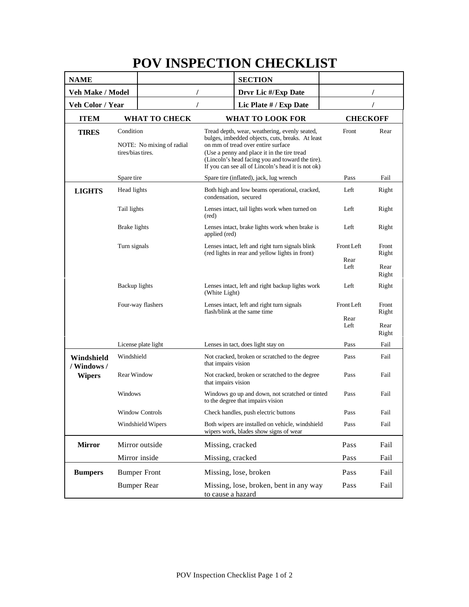## **POV INSPECTION CHECKLIST**

| <b>NAME</b>                                |                                                             |                     |                                                                                                                                                                                                                                                                                                  | <b>SECTION</b>                                                                       |                            |                                 |
|--------------------------------------------|-------------------------------------------------------------|---------------------|--------------------------------------------------------------------------------------------------------------------------------------------------------------------------------------------------------------------------------------------------------------------------------------------------|--------------------------------------------------------------------------------------|----------------------------|---------------------------------|
| Veh Make / Model                           |                                                             |                     |                                                                                                                                                                                                                                                                                                  | Drvr Lic #/Exp Date                                                                  |                            |                                 |
| Veh Color / Year                           |                                                             |                     | Lic Plate # / Exp Date                                                                                                                                                                                                                                                                           |                                                                                      |                            |                                 |
| <b>ITEM</b>                                |                                                             | WHAT TO CHECK       |                                                                                                                                                                                                                                                                                                  | <b>WHAT TO LOOK FOR</b>                                                              | <b>CHECKOFF</b>            |                                 |
| <b>TIRES</b>                               | Condition<br>NOTE: No mixing of radial<br>tires/bias tires. |                     | Tread depth, wear, weathering, evenly seated,<br>bulges, imbedded objects, cuts, breaks. At least<br>on mm of tread over entire surface<br>(Use a penny and place it in the tire tread<br>(Lincoln's head facing you and toward the tire).<br>If you can see all of Lincoln's head it is not ok) |                                                                                      | Front                      | Rear                            |
|                                            | Spare tire                                                  |                     |                                                                                                                                                                                                                                                                                                  | Spare tire (inflated), jack, lug wrench                                              | Pass                       | Fail                            |
| <b>LIGHTS</b>                              | Head lights                                                 |                     | Both high and low beams operational, cracked,<br>condensation, secured                                                                                                                                                                                                                           |                                                                                      | Left                       | Right                           |
|                                            | Tail lights                                                 |                     | Lenses intact, tail lights work when turned on<br>(red)                                                                                                                                                                                                                                          |                                                                                      | Left                       | Right                           |
|                                            | Brake lights                                                |                     | Lenses intact, brake lights work when brake is<br>applied (red)                                                                                                                                                                                                                                  |                                                                                      | Left                       | Right                           |
|                                            | Turn signals                                                |                     | Lenses intact, left and right turn signals blink<br>(red lights in rear and yellow lights in front)                                                                                                                                                                                              |                                                                                      | Front Left<br>Rear<br>Left | Front<br>Right<br>Rear          |
|                                            | Backup lights                                               |                     | (White Light)                                                                                                                                                                                                                                                                                    | Lenses intact, left and right backup lights work                                     | Left                       | Right<br>Right                  |
|                                            | Four-way flashers                                           |                     |                                                                                                                                                                                                                                                                                                  | Lenses intact, left and right turn signals<br>flash/blink at the same time           | Front Left<br>Rear<br>Left | Front<br>Right<br>Rear<br>Right |
|                                            | License plate light                                         |                     |                                                                                                                                                                                                                                                                                                  | Lenses in tact, does light stay on                                                   | Pass                       | Fail                            |
| Windshield<br>/ Windows /<br><b>Wipers</b> | Windshield                                                  |                     | Not cracked, broken or scratched to the degree<br>that impairs vision                                                                                                                                                                                                                            |                                                                                      | Pass                       | Fail                            |
|                                            | Rear Window                                                 |                     | that impairs vision                                                                                                                                                                                                                                                                              | Not cracked, broken or scratched to the degree                                       | Pass                       | Fail                            |
|                                            | Windows                                                     |                     |                                                                                                                                                                                                                                                                                                  | Windows go up and down, not scratched or tinted<br>to the degree that impairs vision | Pass                       | Fail                            |
|                                            | <b>Window Controls</b>                                      |                     | Check handles, push electric buttons                                                                                                                                                                                                                                                             |                                                                                      | Pass                       | Fail                            |
|                                            | Windshield Wipers                                           |                     | Both wipers are installed on vehicle, windshield<br>wipers work, blades show signs of wear                                                                                                                                                                                                       |                                                                                      | Pass                       | Fail                            |
| <b>Mirror</b>                              | Mirror outside                                              |                     | Missing, cracked                                                                                                                                                                                                                                                                                 |                                                                                      | Pass                       | Fail                            |
|                                            | Mirror inside                                               |                     | Missing, cracked                                                                                                                                                                                                                                                                                 |                                                                                      | Pass                       | Fail                            |
| <b>Bumpers</b>                             |                                                             | <b>Bumper Front</b> |                                                                                                                                                                                                                                                                                                  | Missing, lose, broken                                                                | Pass                       | Fail                            |
|                                            | <b>Bumper Rear</b>                                          |                     | to cause a hazard                                                                                                                                                                                                                                                                                | Missing, lose, broken, bent in any way                                               | Pass                       | Fail                            |